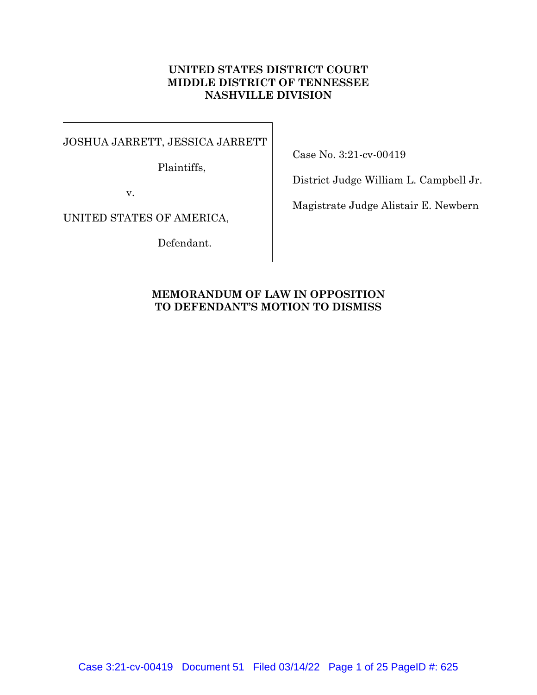## **UNITED STATES DISTRICT COURT MIDDLE DISTRICT OF TENNESSEE NASHVILLE DIVISION**

 $\overline{\phantom{a}}$ 

JOSHUA JARRETT, JESSICA JARRETT

Plaintiffs,

Case No. 3:21-cv-00419

District Judge William L. Campbell Jr.

v.

UNITED STATES OF AMERICA,

Defendant.

Magistrate Judge Alistair E. Newbern

# **MEMORANDUM OF LAW IN OPPOSITION TO DEFENDANT'S MOTION TO DISMISS**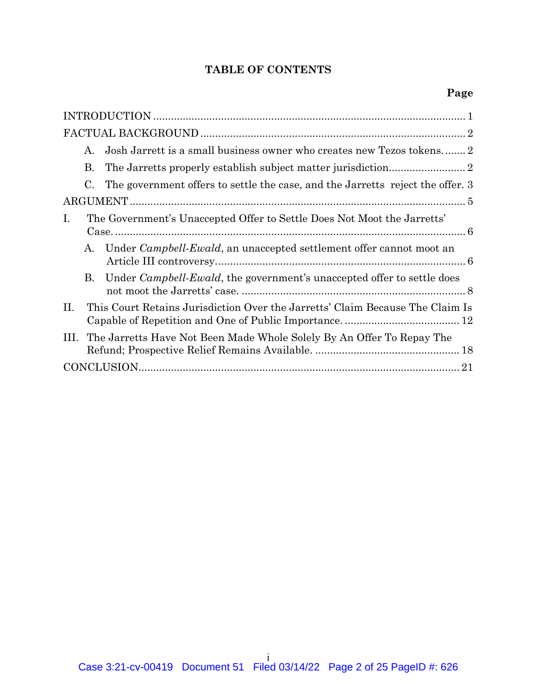# **TABLE OF CONTENTS**

|      | $A_{-}$                                                                       |                                                                                |  |
|------|-------------------------------------------------------------------------------|--------------------------------------------------------------------------------|--|
|      | В.                                                                            |                                                                                |  |
|      | C.                                                                            | The government offers to settle the case, and the Jarretts reject the offer. 3 |  |
|      |                                                                               |                                                                                |  |
| Ι.   |                                                                               | The Government's Unaccepted Offer to Settle Does Not Moot the Jarretts'        |  |
|      | A.                                                                            | Under Campbell-Ewald, an unaccepted settlement offer cannot moot an            |  |
|      | В.                                                                            | Under <i>Campbell-Ewald</i> , the government's unaccepted offer to settle does |  |
| II.  | This Court Retains Jurisdiction Over the Jarretts' Claim Because The Claim Is |                                                                                |  |
| III. | The Jarretts Have Not Been Made Whole Solely By An Offer To Repay The         |                                                                                |  |
|      |                                                                               |                                                                                |  |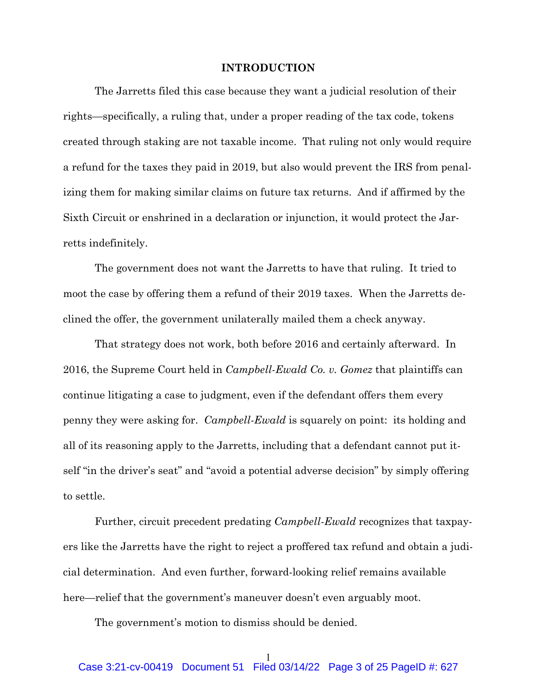### **INTRODUCTION**

The Jarretts filed this case because they want a judicial resolution of their rights—specifically, a ruling that, under a proper reading of the tax code, tokens created through staking are not taxable income. That ruling not only would require a refund for the taxes they paid in 2019, but also would prevent the IRS from penalizing them for making similar claims on future tax returns. And if affirmed by the Sixth Circuit or enshrined in a declaration or injunction, it would protect the Jarretts indefinitely.

The government does not want the Jarretts to have that ruling. It tried to moot the case by offering them a refund of their 2019 taxes. When the Jarretts declined the offer, the government unilaterally mailed them a check anyway.

That strategy does not work, both before 2016 and certainly afterward. In 2016, the Supreme Court held in *Campbell-Ewald Co. v. Gomez* that plaintiffs can continue litigating a case to judgment, even if the defendant offers them every penny they were asking for. *Campbell-Ewald* is squarely on point: its holding and all of its reasoning apply to the Jarretts, including that a defendant cannot put itself "in the driver's seat" and "avoid a potential adverse decision" by simply offering to settle.

Further, circuit precedent predating *Campbell-Ewald* recognizes that taxpayers like the Jarretts have the right to reject a proffered tax refund and obtain a judicial determination. And even further, forward-looking relief remains available here—relief that the government's maneuver doesn't even arguably moot.

The government's motion to dismiss should be denied.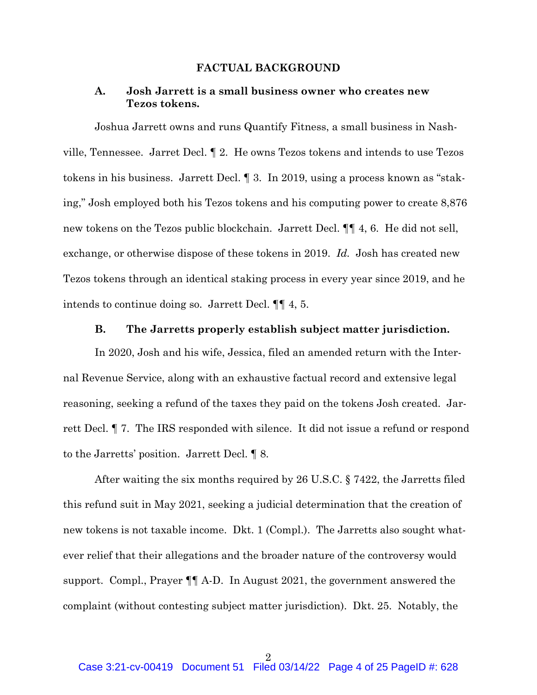### **FACTUAL BACKGROUND**

### **A. Josh Jarrett is a small business owner who creates new Tezos tokens.**

 Joshua Jarrett owns and runs Quantify Fitness, a small business in Nashville, Tennessee. Jarret Decl. ¶ 2. He owns Tezos tokens and intends to use Tezos tokens in his business. Jarrett Decl. ¶ 3. In 2019, using a process known as "staking," Josh employed both his Tezos tokens and his computing power to create 8,876 new tokens on the Tezos public blockchain. Jarrett Decl. ¶¶ 4, 6. He did not sell, exchange, or otherwise dispose of these tokens in 2019. *Id.* Josh has created new Tezos tokens through an identical staking process in every year since 2019, and he intends to continue doing so. Jarrett Decl. ¶¶ 4, 5.

#### **B. The Jarretts properly establish subject matter jurisdiction.**

In 2020, Josh and his wife, Jessica, filed an amended return with the Internal Revenue Service, along with an exhaustive factual record and extensive legal reasoning, seeking a refund of the taxes they paid on the tokens Josh created. Jarrett Decl. ¶ 7. The IRS responded with silence. It did not issue a refund or respond to the Jarretts' position. Jarrett Decl. ¶ 8.

After waiting the six months required by 26 U.S.C. § 7422, the Jarretts filed this refund suit in May 2021, seeking a judicial determination that the creation of new tokens is not taxable income. Dkt. 1 (Compl.). The Jarretts also sought whatever relief that their allegations and the broader nature of the controversy would support. Compl., Prayer ¶¶ A-D. In August 2021, the government answered the complaint (without contesting subject matter jurisdiction). Dkt. 25. Notably, the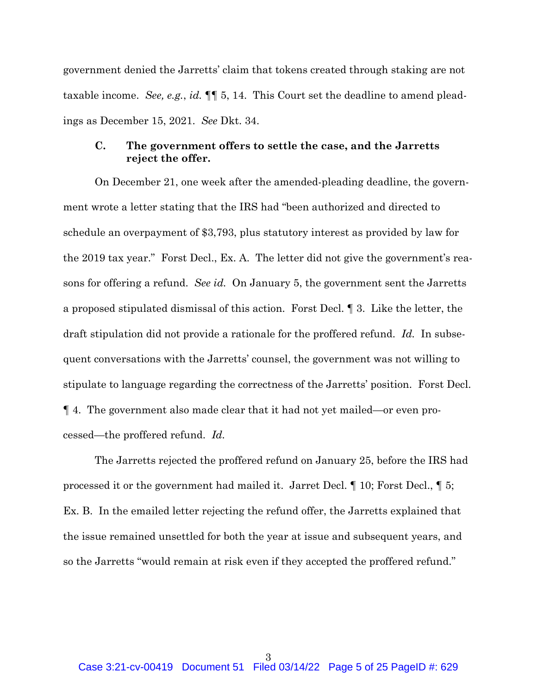government denied the Jarretts' claim that tokens created through staking are not taxable income. *See, e.g.*, *id.* ¶¶ 5, 14. This Court set the deadline to amend pleadings as December 15, 2021. *See* Dkt. 34.

### **C. The government offers to settle the case, and the Jarretts reject the offer.**

 On December 21, one week after the amended-pleading deadline, the government wrote a letter stating that the IRS had "been authorized and directed to schedule an overpayment of \$3,793, plus statutory interest as provided by law for the 2019 tax year." Forst Decl., Ex. A. The letter did not give the government's reasons for offering a refund. *See id.* On January 5, the government sent the Jarretts a proposed stipulated dismissal of this action. Forst Decl. ¶ 3. Like the letter, the draft stipulation did not provide a rationale for the proffered refund. *Id.* In subsequent conversations with the Jarretts' counsel, the government was not willing to stipulate to language regarding the correctness of the Jarretts' position. Forst Decl. ¶ 4. The government also made clear that it had not yet mailed—or even processed—the proffered refund. *Id.*

 The Jarretts rejected the proffered refund on January 25, before the IRS had processed it or the government had mailed it. Jarret Decl. ¶ 10; Forst Decl., ¶ 5; Ex. B. In the emailed letter rejecting the refund offer, the Jarretts explained that the issue remained unsettled for both the year at issue and subsequent years, and so the Jarretts "would remain at risk even if they accepted the proffered refund."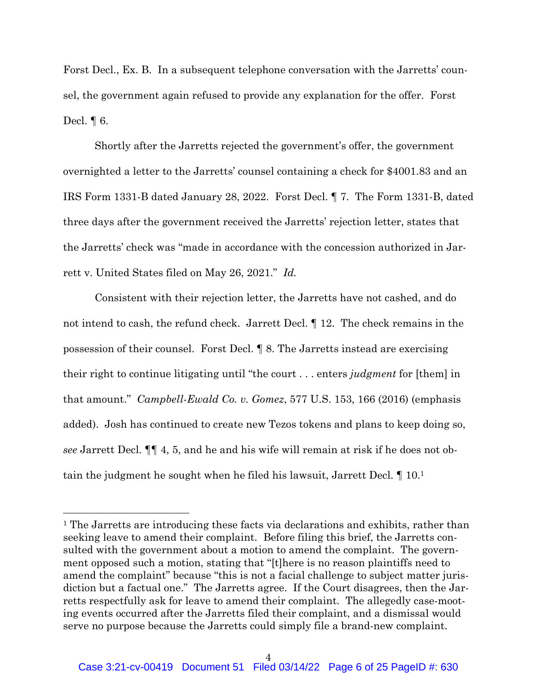Forst Decl., Ex. B. In a subsequent telephone conversation with the Jarretts' counsel, the government again refused to provide any explanation for the offer. Forst Decl. ¶ 6.

Shortly after the Jarretts rejected the government's offer, the government overnighted a letter to the Jarretts' counsel containing a check for \$4001.83 and an IRS Form 1331-B dated January 28, 2022. Forst Decl. ¶ 7. The Form 1331-B, dated three days after the government received the Jarretts' rejection letter, states that the Jarretts' check was "made in accordance with the concession authorized in Jarrett v. United States filed on May 26, 2021." *Id.* 

 Consistent with their rejection letter, the Jarretts have not cashed, and do not intend to cash, the refund check. Jarrett Decl. ¶ 12. The check remains in the possession of their counsel. Forst Decl. ¶ 8. The Jarretts instead are exercising their right to continue litigating until "the court . . . enters *judgment* for [them] in that amount." *Campbell-Ewald Co. v. Gomez*, 577 U.S. 153, 166 (2016) (emphasis added). Josh has continued to create new Tezos tokens and plans to keep doing so, *see* Jarrett Decl. ¶¶ 4, 5, and he and his wife will remain at risk if he does not obtain the judgment he sought when he filed his lawsuit, Jarrett Decl. ¶ 10.1

<sup>&</sup>lt;sup>1</sup> The Jarretts are introducing these facts via declarations and exhibits, rather than seeking leave to amend their complaint. Before filing this brief, the Jarretts consulted with the government about a motion to amend the complaint. The government opposed such a motion, stating that "[t]here is no reason plaintiffs need to amend the complaint" because "this is not a facial challenge to subject matter jurisdiction but a factual one." The Jarretts agree. If the Court disagrees, then the Jarretts respectfully ask for leave to amend their complaint. The allegedly case-mooting events occurred after the Jarretts filed their complaint, and a dismissal would serve no purpose because the Jarretts could simply file a brand-new complaint.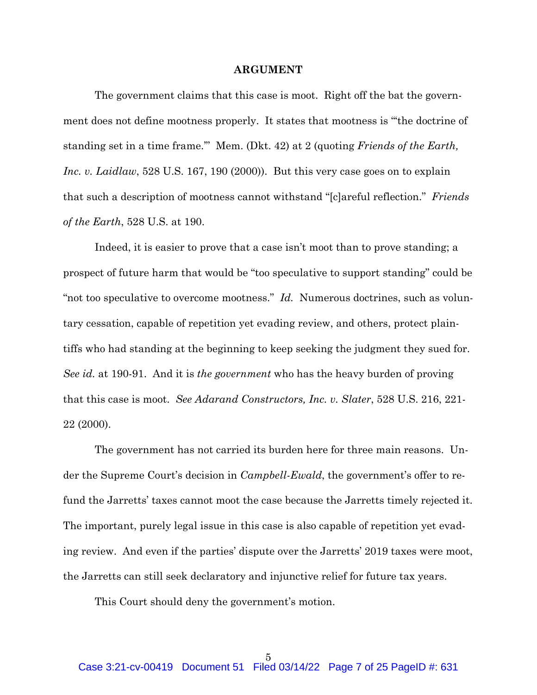#### **ARGUMENT**

The government claims that this case is moot. Right off the bat the government does not define mootness properly. It states that mootness is "'the doctrine of standing set in a time frame.'" Mem. (Dkt. 42) at 2 (quoting *Friends of the Earth, Inc. v. Laidlaw*, 528 U.S. 167, 190 (2000)). But this very case goes on to explain that such a description of mootness cannot withstand "[c]areful reflection." *Friends of the Earth*, 528 U.S. at 190.

Indeed, it is easier to prove that a case isn't moot than to prove standing; a prospect of future harm that would be "too speculative to support standing" could be "not too speculative to overcome mootness." *Id.* Numerous doctrines, such as voluntary cessation, capable of repetition yet evading review, and others, protect plaintiffs who had standing at the beginning to keep seeking the judgment they sued for. *See id.* at 190-91. And it is *the government* who has the heavy burden of proving that this case is moot. *See Adarand Constructors, Inc. v. Slater*, 528 U.S. 216, 221- 22 (2000).

The government has not carried its burden here for three main reasons. Under the Supreme Court's decision in *Campbell-Ewald*, the government's offer to refund the Jarretts' taxes cannot moot the case because the Jarretts timely rejected it. The important, purely legal issue in this case is also capable of repetition yet evading review. And even if the parties' dispute over the Jarretts' 2019 taxes were moot, the Jarretts can still seek declaratory and injunctive relief for future tax years.

This Court should deny the government's motion.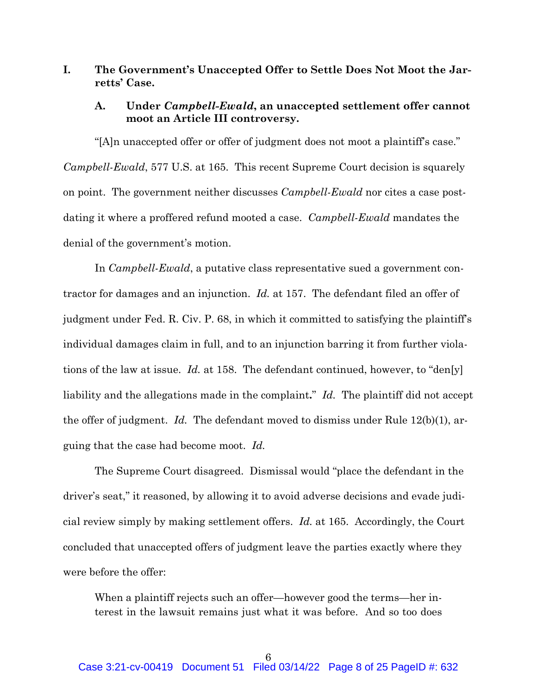## **I. The Government's Unaccepted Offer to Settle Does Not Moot the Jarretts' Case.**

### **A. Under** *Campbell-Ewald***, an unaccepted settlement offer cannot moot an Article III controversy.**

"[A]n unaccepted offer or offer of judgment does not moot a plaintiff's case." *Campbell-Ewald*, 577 U.S. at 165. This recent Supreme Court decision is squarely on point. The government neither discusses *Campbell-Ewald* nor cites a case postdating it where a proffered refund mooted a case. *Campbell-Ewald* mandates the denial of the government's motion.

In *Campbell-Ewald*, a putative class representative sued a government contractor for damages and an injunction. *Id.* at 157. The defendant filed an offer of judgment under Fed. R. Civ. P. 68, in which it committed to satisfying the plaintiff's individual damages claim in full, and to an injunction barring it from further violations of the law at issue. *Id.* at 158. The defendant continued, however, to "den[y] liability and the allegations made in the complaint**.**" *Id.* The plaintiff did not accept the offer of judgment. *Id.* The defendant moved to dismiss under Rule 12(b)(1), arguing that the case had become moot. *Id.*

The Supreme Court disagreed. Dismissal would "place the defendant in the driver's seat," it reasoned, by allowing it to avoid adverse decisions and evade judicial review simply by making settlement offers. *Id.* at 165. Accordingly, the Court concluded that unaccepted offers of judgment leave the parties exactly where they were before the offer:

When a plaintiff rejects such an offer—however good the terms—her interest in the lawsuit remains just what it was before. And so too does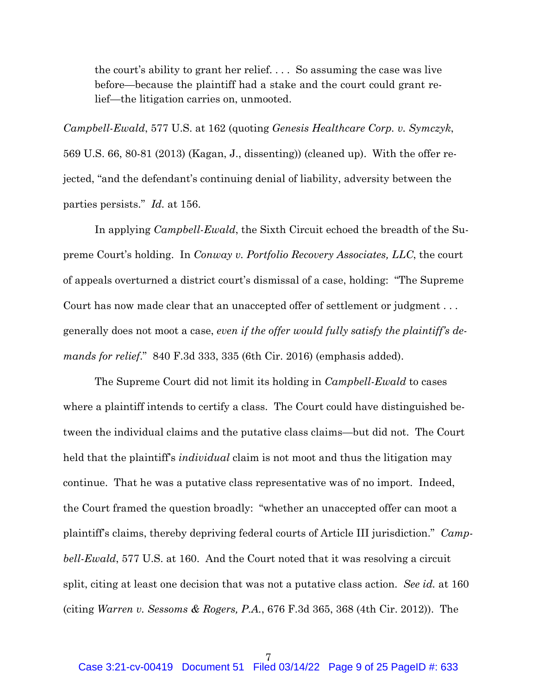the court's ability to grant her relief. . . . So assuming the case was live before—because the plaintiff had a stake and the court could grant relief—the litigation carries on, unmooted.

*Campbell-Ewald*, 577 U.S. at 162 (quoting *Genesis Healthcare Corp. v. Symczyk*, 569 U.S. 66, 80-81 (2013) (Kagan, J., dissenting)) (cleaned up). With the offer rejected, "and the defendant's continuing denial of liability, adversity between the parties persists." *Id.* at 156.

In applying *Campbell-Ewald*, the Sixth Circuit echoed the breadth of the Supreme Court's holding. In *Conway v. Portfolio Recovery Associates, LLC*, the court of appeals overturned a district court's dismissal of a case, holding: "The Supreme Court has now made clear that an unaccepted offer of settlement or judgment ... generally does not moot a case, *even if the offer would fully satisfy the plaintiff's demands for relief*." 840 F.3d 333, 335 (6th Cir. 2016) (emphasis added).

The Supreme Court did not limit its holding in *Campbell-Ewald* to cases where a plaintiff intends to certify a class. The Court could have distinguished between the individual claims and the putative class claims—but did not. The Court held that the plaintiff's *individual* claim is not moot and thus the litigation may continue. That he was a putative class representative was of no import. Indeed, the Court framed the question broadly: "whether an unaccepted offer can moot a plaintiff's claims, thereby depriving federal courts of Article III jurisdiction." *Campbell-Ewald*, 577 U.S. at 160. And the Court noted that it was resolving a circuit split, citing at least one decision that was not a putative class action. *See id.* at 160 (citing *Warren v. Sessoms & Rogers, P.A.*, 676 F.3d 365, 368 (4th Cir. 2012)). The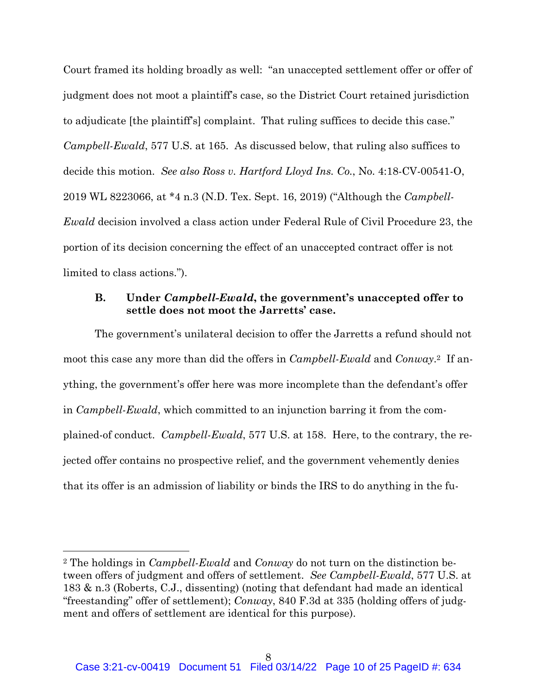Court framed its holding broadly as well: "an unaccepted settlement offer or offer of judgment does not moot a plaintiff's case, so the District Court retained jurisdiction to adjudicate [the plaintiff's] complaint. That ruling suffices to decide this case." *Campbell-Ewald*, 577 U.S. at 165. As discussed below, that ruling also suffices to decide this motion. *See also Ross v. Hartford Lloyd Ins. Co.*, No. 4:18-CV-00541-O, 2019 WL 8223066, at \*4 n.3 (N.D. Tex. Sept. 16, 2019) ("Although the *Campbell-Ewald* decision involved a class action under Federal Rule of Civil Procedure 23, the portion of its decision concerning the effect of an unaccepted contract offer is not limited to class actions.").

### **B. Under** *Campbell-Ewald***, the government's unaccepted offer to settle does not moot the Jarretts' case.**

The government's unilateral decision to offer the Jarretts a refund should not moot this case any more than did the offers in *Campbell-Ewald* and *Conway*.2 If anything, the government's offer here was more incomplete than the defendant's offer in *Campbell-Ewald*, which committed to an injunction barring it from the complained-of conduct. *Campbell-Ewald*, 577 U.S. at 158. Here, to the contrary, the rejected offer contains no prospective relief, and the government vehemently denies that its offer is an admission of liability or binds the IRS to do anything in the fu-

<sup>2</sup> The holdings in *Campbell-Ewald* and *Conway* do not turn on the distinction between offers of judgment and offers of settlement. *See Campbell-Ewald*, 577 U.S. at 183 & n.3 (Roberts, C.J., dissenting) (noting that defendant had made an identical "freestanding" offer of settlement); *Conway*, 840 F.3d at 335 (holding offers of judgment and offers of settlement are identical for this purpose).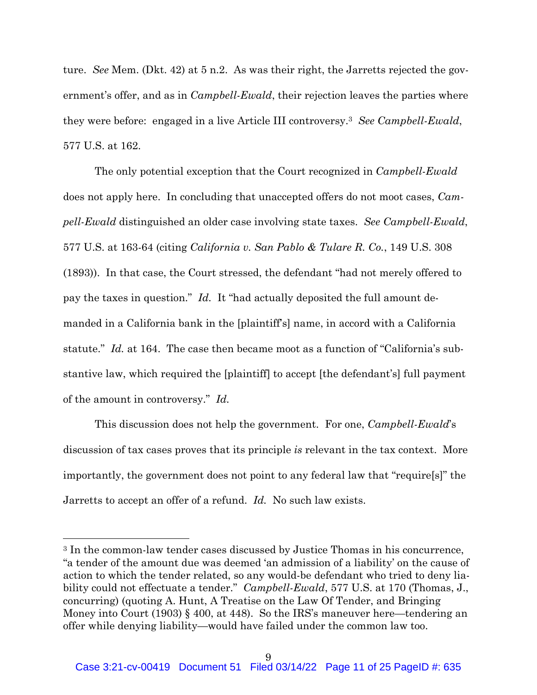ture. *See* Mem. (Dkt. 42) at 5 n.2. As was their right, the Jarretts rejected the government's offer, and as in *Campbell-Ewald*, their rejection leaves the parties where they were before: engaged in a live Article III controversy.3 *See Campbell-Ewald*, 577 U.S. at 162.

The only potential exception that the Court recognized in *Campbell-Ewald*  does not apply here. In concluding that unaccepted offers do not moot cases, *Campell-Ewald* distinguished an older case involving state taxes. *See Campbell-Ewald*, 577 U.S. at 163-64 (citing *California v. San Pablo & Tulare R. Co.*, 149 U.S. 308 (1893)). In that case, the Court stressed, the defendant "had not merely offered to pay the taxes in question." *Id.* It "had actually deposited the full amount demanded in a California bank in the [plaintiff's] name, in accord with a California statute." *Id.* at 164. The case then became moot as a function of "California's substantive law, which required the [plaintiff] to accept [the defendant's] full payment of the amount in controversy." *Id.* 

This discussion does not help the government. For one, *Campbell-Ewald*'s discussion of tax cases proves that its principle *is* relevant in the tax context. More importantly, the government does not point to any federal law that "require[s]" the Jarretts to accept an offer of a refund. *Id.* No such law exists.

<sup>3</sup> In the common-law tender cases discussed by Justice Thomas in his concurrence, "a tender of the amount due was deemed 'an admission of a liability' on the cause of action to which the tender related, so any would-be defendant who tried to deny liability could not effectuate a tender." *Campbell-Ewald*, 577 U.S. at 170 (Thomas, J., concurring) (quoting A. Hunt, A Treatise on the Law Of Tender, and Bringing Money into Court (1903) § 400, at 448). So the IRS's maneuver here—tendering an offer while denying liability—would have failed under the common law too.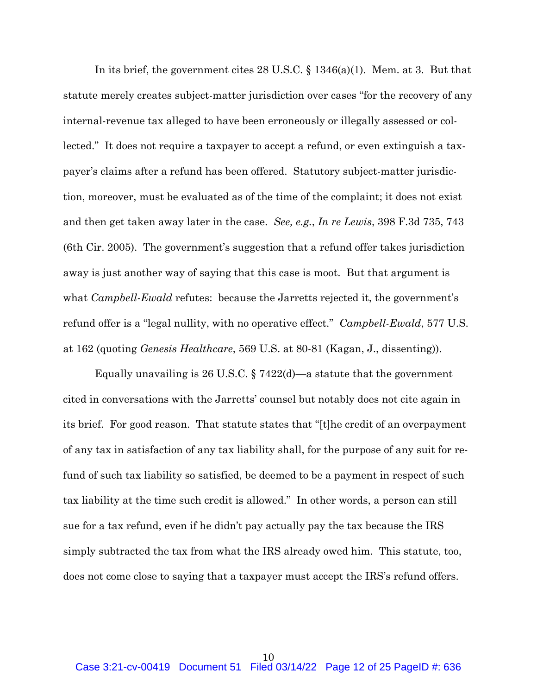In its brief, the government cites 28 U.S.C. § 1346(a)(1). Mem. at 3. But that statute merely creates subject-matter jurisdiction over cases "for the recovery of any internal-revenue tax alleged to have been erroneously or illegally assessed or collected." It does not require a taxpayer to accept a refund, or even extinguish a taxpayer's claims after a refund has been offered. Statutory subject-matter jurisdiction, moreover, must be evaluated as of the time of the complaint; it does not exist and then get taken away later in the case. *See, e.g.*, *In re Lewis*, 398 F.3d 735, 743 (6th Cir. 2005). The government's suggestion that a refund offer takes jurisdiction away is just another way of saying that this case is moot. But that argument is what *Campbell-Ewald* refutes: because the Jarretts rejected it, the government's refund offer is a "legal nullity, with no operative effect." *Campbell-Ewald*, 577 U.S. at 162 (quoting *Genesis Healthcare*, 569 U.S. at 80-81 (Kagan, J., dissenting)).

Equally unavailing is 26 U.S.C.  $\S 7422(d)$ —a statute that the government cited in conversations with the Jarretts' counsel but notably does not cite again in its brief. For good reason. That statute states that "[t]he credit of an overpayment of any tax in satisfaction of any tax liability shall, for the purpose of any suit for refund of such tax liability so satisfied, be deemed to be a payment in respect of such tax liability at the time such credit is allowed." In other words, a person can still sue for a tax refund, even if he didn't pay actually pay the tax because the IRS simply subtracted the tax from what the IRS already owed him. This statute, too, does not come close to saying that a taxpayer must accept the IRS's refund offers.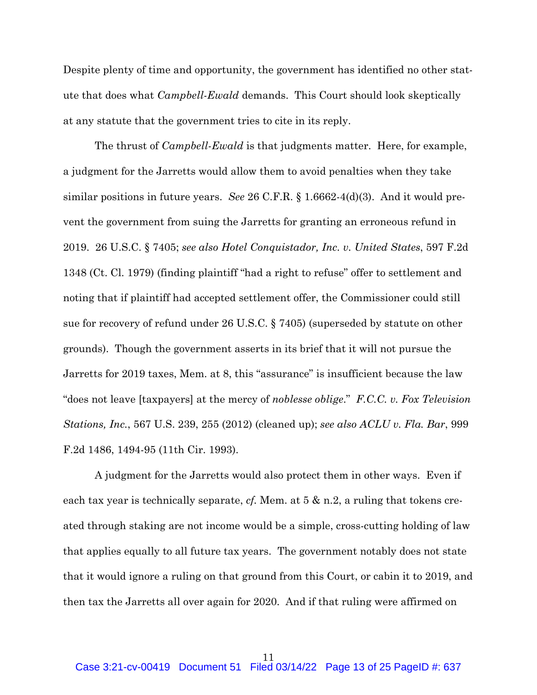Despite plenty of time and opportunity, the government has identified no other statute that does what *Campbell-Ewald* demands. This Court should look skeptically at any statute that the government tries to cite in its reply.

The thrust of *Campbell-Ewald* is that judgments matter. Here, for example, a judgment for the Jarretts would allow them to avoid penalties when they take similar positions in future years. *See* 26 C.F.R. § 1.6662-4(d)(3). And it would prevent the government from suing the Jarretts for granting an erroneous refund in 2019. 26 U.S.C. § 7405; *see also Hotel Conquistador, Inc. v. United States*, 597 F.2d 1348 (Ct. Cl. 1979) (finding plaintiff "had a right to refuse" offer to settlement and noting that if plaintiff had accepted settlement offer, the Commissioner could still sue for recovery of refund under 26 U.S.C. § 7405) (superseded by statute on other grounds). Though the government asserts in its brief that it will not pursue the Jarretts for 2019 taxes, Mem. at 8, this "assurance" is insufficient because the law "does not leave [taxpayers] at the mercy of *noblesse oblige*." *F.C.C. v. Fox Television Stations, Inc.*, 567 U.S. 239, 255 (2012) (cleaned up); *see also ACLU v. Fla. Bar*, 999 F.2d 1486, 1494-95 (11th Cir. 1993).

A judgment for the Jarretts would also protect them in other ways. Even if each tax year is technically separate, *cf.* Mem. at 5 & n.2, a ruling that tokens created through staking are not income would be a simple, cross-cutting holding of law that applies equally to all future tax years. The government notably does not state that it would ignore a ruling on that ground from this Court, or cabin it to 2019, and then tax the Jarretts all over again for 2020. And if that ruling were affirmed on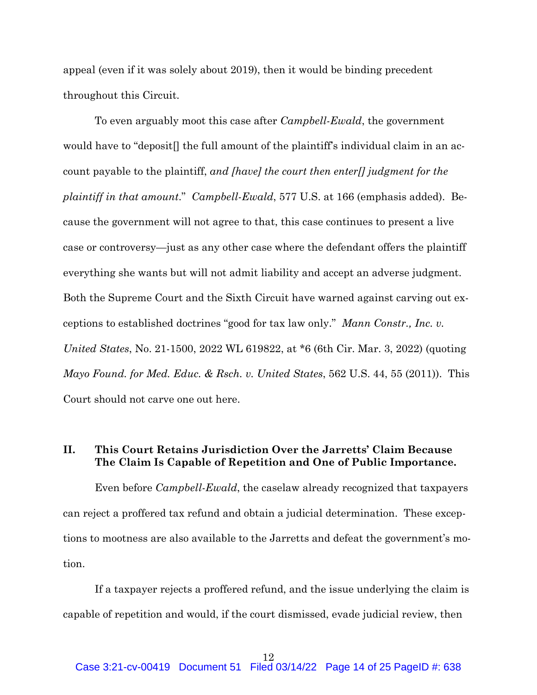appeal (even if it was solely about 2019), then it would be binding precedent throughout this Circuit.

To even arguably moot this case after *Campbell-Ewald*, the government would have to "deposit<sup>[]</sup> the full amount of the plaintiff's individual claim in an account payable to the plaintiff, *and [have] the court then enter[] judgment for the plaintiff in that amount*." *Campbell-Ewald*, 577 U.S. at 166 (emphasis added). Because the government will not agree to that, this case continues to present a live case or controversy—just as any other case where the defendant offers the plaintiff everything she wants but will not admit liability and accept an adverse judgment. Both the Supreme Court and the Sixth Circuit have warned against carving out exceptions to established doctrines "good for tax law only." *Mann Constr., Inc. v. United States*, No. 21-1500, 2022 WL 619822, at \*6 (6th Cir. Mar. 3, 2022) (quoting *Mayo Found. for Med. Educ. & Rsch. v. United States*, 562 U.S. 44, 55 (2011)). This Court should not carve one out here.

## **II. This Court Retains Jurisdiction Over the Jarretts' Claim Because The Claim Is Capable of Repetition and One of Public Importance.**

Even before *Campbell-Ewald*, the caselaw already recognized that taxpayers can reject a proffered tax refund and obtain a judicial determination. These exceptions to mootness are also available to the Jarretts and defeat the government's motion.

If a taxpayer rejects a proffered refund, and the issue underlying the claim is capable of repetition and would, if the court dismissed, evade judicial review, then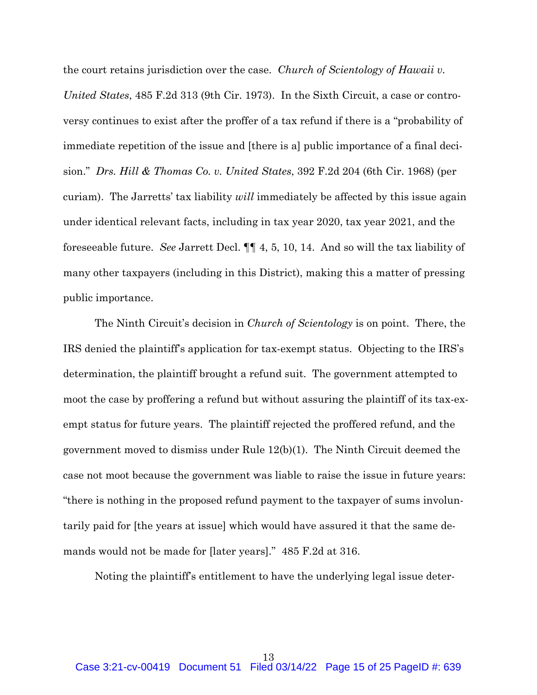the court retains jurisdiction over the case. *Church of Scientology of Hawaii v. United States*, 485 F.2d 313 (9th Cir. 1973). In the Sixth Circuit, a case or controversy continues to exist after the proffer of a tax refund if there is a "probability of immediate repetition of the issue and [there is a] public importance of a final decision." *Drs. Hill & Thomas Co. v. United States*, 392 F.2d 204 (6th Cir. 1968) (per curiam). The Jarretts' tax liability *will* immediately be affected by this issue again under identical relevant facts, including in tax year 2020, tax year 2021, and the foreseeable future. *See* Jarrett Decl. ¶¶ 4, 5, 10, 14. And so will the tax liability of many other taxpayers (including in this District), making this a matter of pressing public importance.

The Ninth Circuit's decision in *Church of Scientology* is on point. There, the IRS denied the plaintiff's application for tax-exempt status. Objecting to the IRS's determination, the plaintiff brought a refund suit. The government attempted to moot the case by proffering a refund but without assuring the plaintiff of its tax-exempt status for future years. The plaintiff rejected the proffered refund, and the government moved to dismiss under Rule 12(b)(1). The Ninth Circuit deemed the case not moot because the government was liable to raise the issue in future years: "there is nothing in the proposed refund payment to the taxpayer of sums involuntarily paid for [the years at issue] which would have assured it that the same demands would not be made for [later years]." 485 F.2d at 316.

Noting the plaintiff's entitlement to have the underlying legal issue deter-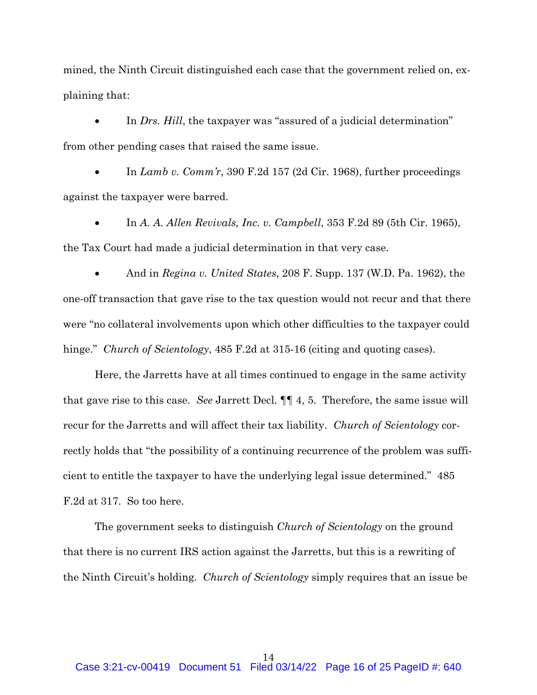mined, the Ninth Circuit distinguished each case that the government relied on, explaining that:

 In *Drs. Hill*, the taxpayer was "assured of a judicial determination" from other pending cases that raised the same issue.

 In *Lamb v. Comm'r*, 390 F.2d 157 (2d Cir. 1968), further proceedings against the taxpayer were barred.

 In *A. A. Allen Revivals, Inc. v. Campbell*, 353 F.2d 89 (5th Cir. 1965), the Tax Court had made a judicial determination in that very case.

 And in *Regina v. United States*, 208 F. Supp. 137 (W.D. Pa. 1962), the one-off transaction that gave rise to the tax question would not recur and that there were "no collateral involvements upon which other difficulties to the taxpayer could hinge." *Church of Scientology*, 485 F.2d at 315-16 (citing and quoting cases).

Here, the Jarretts have at all times continued to engage in the same activity that gave rise to this case. *See* Jarrett Decl. ¶¶ 4, 5. Therefore, the same issue will recur for the Jarretts and will affect their tax liability. *Church of Scientology* correctly holds that "the possibility of a continuing recurrence of the problem was sufficient to entitle the taxpayer to have the underlying legal issue determined." 485 F.2d at 317. So too here.

The government seeks to distinguish *Church of Scientology* on the ground that there is no current IRS action against the Jarretts, but this is a rewriting of the Ninth Circuit's holding. *Church of Scientology* simply requires that an issue be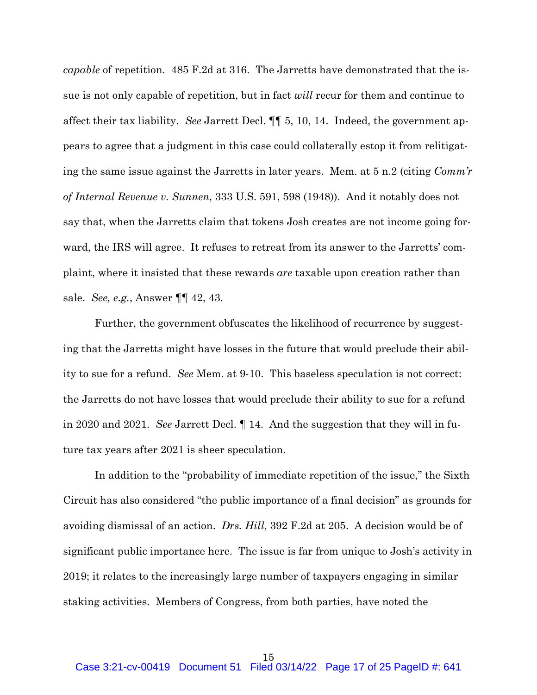*capable* of repetition. 485 F.2d at 316. The Jarretts have demonstrated that the issue is not only capable of repetition, but in fact *will* recur for them and continue to affect their tax liability. *See* Jarrett Decl. ¶¶ 5, 10, 14. Indeed, the government appears to agree that a judgment in this case could collaterally estop it from relitigating the same issue against the Jarretts in later years. Mem. at 5 n.2 (citing *Comm'r of Internal Revenue v. Sunnen*, 333 U.S. 591, 598 (1948)). And it notably does not say that, when the Jarretts claim that tokens Josh creates are not income going forward, the IRS will agree. It refuses to retreat from its answer to the Jarretts' complaint, where it insisted that these rewards *are* taxable upon creation rather than sale. *See, e.g.*, Answer ¶¶ 42, 43.

Further, the government obfuscates the likelihood of recurrence by suggesting that the Jarretts might have losses in the future that would preclude their ability to sue for a refund. *See* Mem. at 9-10. This baseless speculation is not correct: the Jarretts do not have losses that would preclude their ability to sue for a refund in 2020 and 2021. *See* Jarrett Decl. ¶ 14. And the suggestion that they will in future tax years after 2021 is sheer speculation.

In addition to the "probability of immediate repetition of the issue," the Sixth Circuit has also considered "the public importance of a final decision" as grounds for avoiding dismissal of an action. *Drs. Hill*, 392 F.2d at 205. A decision would be of significant public importance here. The issue is far from unique to Josh's activity in 2019; it relates to the increasingly large number of taxpayers engaging in similar staking activities. Members of Congress, from both parties, have noted the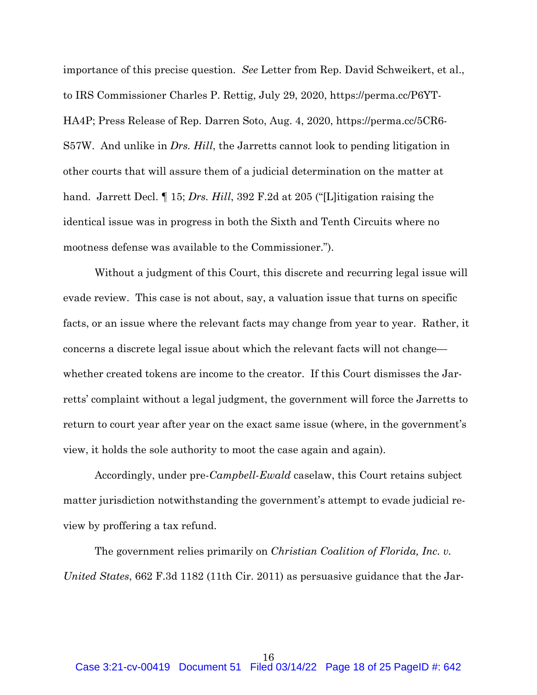importance of this precise question. *See* Letter from Rep. David Schweikert, et al., to IRS Commissioner Charles P. Rettig, July 29, 2020, https://perma.cc/P6YT-HA4P; Press Release of Rep. Darren Soto, Aug. 4, 2020, https://perma.cc/5CR6- S57W. And unlike in *Drs. Hill*, the Jarretts cannot look to pending litigation in other courts that will assure them of a judicial determination on the matter at hand. Jarrett Decl. ¶ 15; *Drs. Hill*, 392 F.2d at 205 ("[L]itigation raising the identical issue was in progress in both the Sixth and Tenth Circuits where no mootness defense was available to the Commissioner.").

Without a judgment of this Court, this discrete and recurring legal issue will evade review. This case is not about, say, a valuation issue that turns on specific facts, or an issue where the relevant facts may change from year to year. Rather, it concerns a discrete legal issue about which the relevant facts will not change whether created tokens are income to the creator. If this Court dismisses the Jarretts' complaint without a legal judgment, the government will force the Jarretts to return to court year after year on the exact same issue (where, in the government's view, it holds the sole authority to moot the case again and again).

Accordingly, under pre-*Campbell-Ewald* caselaw, this Court retains subject matter jurisdiction notwithstanding the government's attempt to evade judicial review by proffering a tax refund.

The government relies primarily on *Christian Coalition of Florida, Inc. v. United States*, 662 F.3d 1182 (11th Cir. 2011) as persuasive guidance that the Jar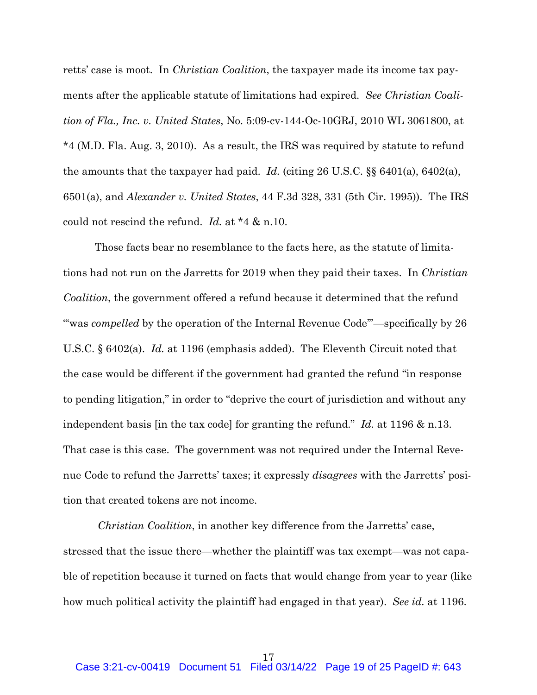retts' case is moot. In *Christian Coalition*, the taxpayer made its income tax payments after the applicable statute of limitations had expired. *See Christian Coalition of Fla., Inc. v. United States*, No. 5:09-cv-144-Oc-10GRJ, 2010 WL 3061800, at \*4 (M.D. Fla. Aug. 3, 2010). As a result, the IRS was required by statute to refund the amounts that the taxpayer had paid. *Id.* (citing 26 U.S.C. §§ 6401(a), 6402(a), 6501(a), and *Alexander v. United States*, 44 F.3d 328, 331 (5th Cir. 1995)). The IRS could not rescind the refund. *Id.* at \*4 & n.10.

Those facts bear no resemblance to the facts here, as the statute of limitations had not run on the Jarretts for 2019 when they paid their taxes. In *Christian Coalition*, the government offered a refund because it determined that the refund "was *compelled* by the operation of the Internal Revenue Code"—specifically by 26 U.S.C. § 6402(a). *Id.* at 1196 (emphasis added). The Eleventh Circuit noted that the case would be different if the government had granted the refund "in response to pending litigation," in order to "deprive the court of jurisdiction and without any independent basis [in the tax code] for granting the refund." *Id.* at 1196 & n.13. That case is this case. The government was not required under the Internal Revenue Code to refund the Jarretts' taxes; it expressly *disagrees* with the Jarretts' position that created tokens are not income.

*Christian Coalition*, in another key difference from the Jarretts' case, stressed that the issue there—whether the plaintiff was tax exempt—was not capable of repetition because it turned on facts that would change from year to year (like how much political activity the plaintiff had engaged in that year). *See id.* at 1196.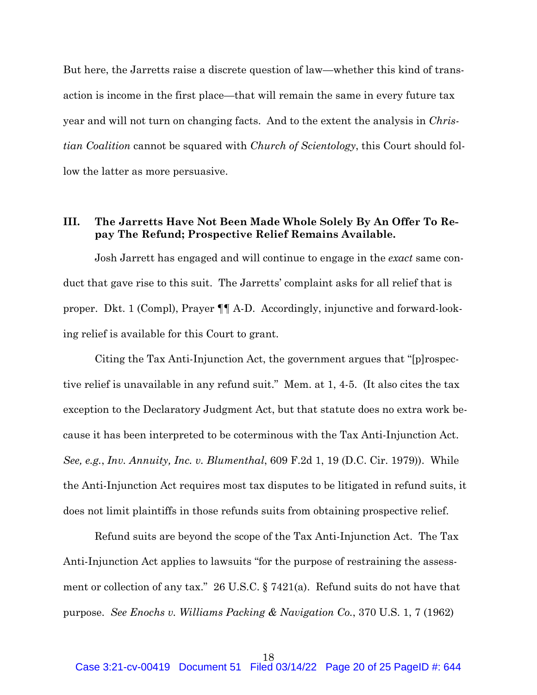But here, the Jarretts raise a discrete question of law—whether this kind of transaction is income in the first place—that will remain the same in every future tax year and will not turn on changing facts. And to the extent the analysis in *Christian Coalition* cannot be squared with *Church of Scientology*, this Court should follow the latter as more persuasive.

## **III. The Jarretts Have Not Been Made Whole Solely By An Offer To Repay The Refund; Prospective Relief Remains Available.**

Josh Jarrett has engaged and will continue to engage in the *exact* same conduct that gave rise to this suit. The Jarretts' complaint asks for all relief that is proper. Dkt. 1 (Compl), Prayer ¶¶ A-D. Accordingly, injunctive and forward-looking relief is available for this Court to grant.

Citing the Tax Anti-Injunction Act, the government argues that "[p]rospective relief is unavailable in any refund suit." Mem. at 1, 4-5. (It also cites the tax exception to the Declaratory Judgment Act, but that statute does no extra work because it has been interpreted to be coterminous with the Tax Anti-Injunction Act. *See, e.g.*, *Inv. Annuity, Inc. v. Blumenthal*, 609 F.2d 1, 19 (D.C. Cir. 1979)). While the Anti-Injunction Act requires most tax disputes to be litigated in refund suits, it does not limit plaintiffs in those refunds suits from obtaining prospective relief.

Refund suits are beyond the scope of the Tax Anti-Injunction Act. The Tax Anti-Injunction Act applies to lawsuits "for the purpose of restraining the assessment or collection of any tax." 26 U.S.C. § 7421(a). Refund suits do not have that purpose. *See Enochs v. Williams Packing & Navigation Co.*, 370 U.S. 1, 7 (1962)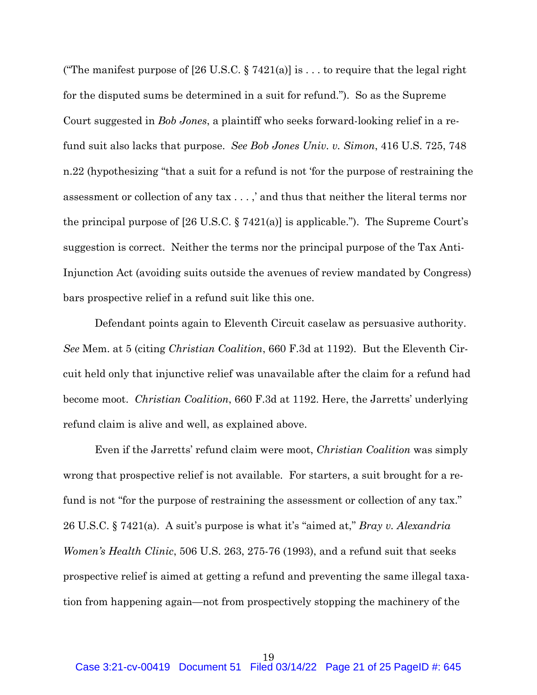("The manifest purpose of [26 U.S.C. § 7421(a)] is ... to require that the legal right for the disputed sums be determined in a suit for refund."). So as the Supreme Court suggested in *Bob Jones*, a plaintiff who seeks forward-looking relief in a refund suit also lacks that purpose. *See Bob Jones Univ. v. Simon*, 416 U.S. 725, 748 n.22 (hypothesizing "that a suit for a refund is not 'for the purpose of restraining the assessment or collection of any tax . . . ,' and thus that neither the literal terms nor the principal purpose of [26 U.S.C. § 7421(a)] is applicable."). The Supreme Court's suggestion is correct. Neither the terms nor the principal purpose of the Tax Anti-Injunction Act (avoiding suits outside the avenues of review mandated by Congress) bars prospective relief in a refund suit like this one.

Defendant points again to Eleventh Circuit caselaw as persuasive authority. *See* Mem. at 5 (citing *Christian Coalition*, 660 F.3d at 1192). But the Eleventh Circuit held only that injunctive relief was unavailable after the claim for a refund had become moot. *Christian Coalition*, 660 F.3d at 1192. Here, the Jarretts' underlying refund claim is alive and well, as explained above.

Even if the Jarretts' refund claim were moot, *Christian Coalition* was simply wrong that prospective relief is not available. For starters, a suit brought for a refund is not "for the purpose of restraining the assessment or collection of any tax." 26 U.S.C. § 7421(a). A suit's purpose is what it's "aimed at," *Bray v. Alexandria Women's Health Clinic*, 506 U.S. 263, 275-76 (1993), and a refund suit that seeks prospective relief is aimed at getting a refund and preventing the same illegal taxation from happening again—not from prospectively stopping the machinery of the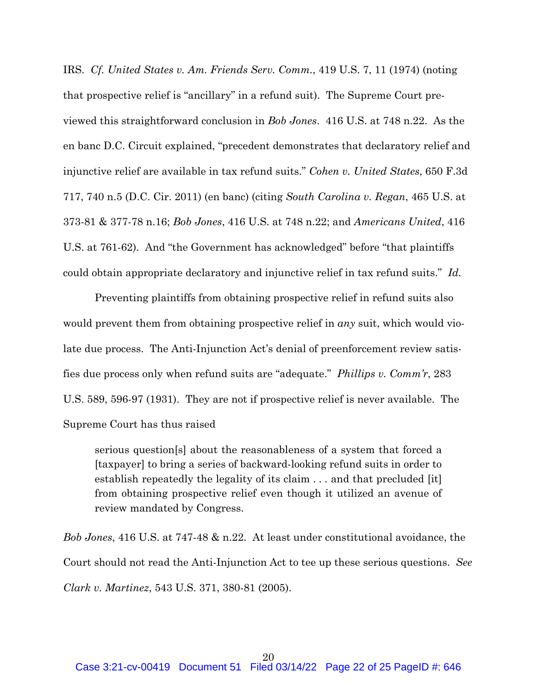IRS. *Cf. United States v. Am. Friends Serv. Comm.*, 419 U.S. 7, 11 (1974) (noting that prospective relief is "ancillary" in a refund suit). The Supreme Court previewed this straightforward conclusion in *Bob Jones*. 416 U.S. at 748 n.22. As the en banc D.C. Circuit explained, "precedent demonstrates that declaratory relief and injunctive relief are available in tax refund suits." *Cohen v. United States*, 650 F.3d 717, 740 n.5 (D.C. Cir. 2011) (en banc) (citing *South Carolina v. Regan*, 465 U.S. at 373-81 & 377-78 n.16; *Bob Jones*, 416 U.S. at 748 n.22; and *Americans United*, 416 U.S. at 761-62). And "the Government has acknowledged" before "that plaintiffs could obtain appropriate declaratory and injunctive relief in tax refund suits." *Id.* 

Preventing plaintiffs from obtaining prospective relief in refund suits also would prevent them from obtaining prospective relief in *any* suit, which would violate due process. The Anti-Injunction Act's denial of preenforcement review satisfies due process only when refund suits are "adequate." *Phillips v. Comm'r*, 283 U.S. 589, 596-97 (1931). They are not if prospective relief is never available. The Supreme Court has thus raised

serious question[s] about the reasonableness of a system that forced a [taxpayer] to bring a series of backward-looking refund suits in order to establish repeatedly the legality of its claim . . . and that precluded [it] from obtaining prospective relief even though it utilized an avenue of review mandated by Congress.

*Bob Jones*, 416 U.S. at 747-48 & n.22. At least under constitutional avoidance, the Court should not read the Anti-Injunction Act to tee up these serious questions. *See Clark v. Martinez*, 543 U.S. 371, 380-81 (2005).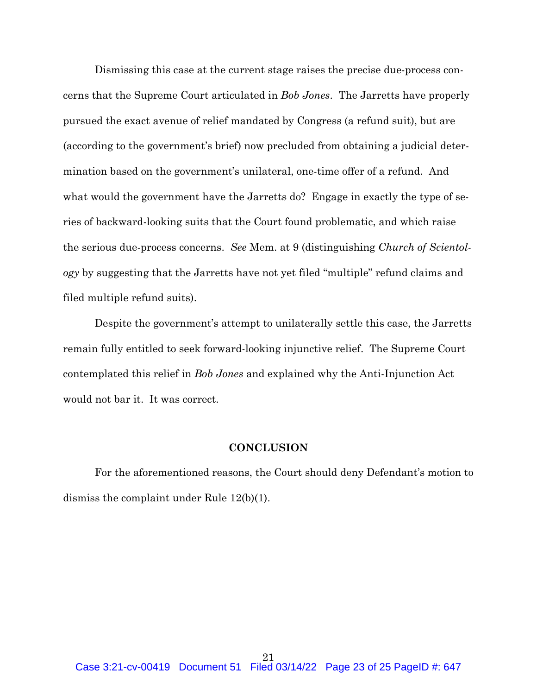Dismissing this case at the current stage raises the precise due-process concerns that the Supreme Court articulated in *Bob Jones*. The Jarretts have properly pursued the exact avenue of relief mandated by Congress (a refund suit), but are (according to the government's brief) now precluded from obtaining a judicial determination based on the government's unilateral, one-time offer of a refund. And what would the government have the Jarretts do? Engage in exactly the type of series of backward-looking suits that the Court found problematic, and which raise the serious due-process concerns. *See* Mem. at 9 (distinguishing *Church of Scientology* by suggesting that the Jarretts have not yet filed "multiple" refund claims and filed multiple refund suits).

Despite the government's attempt to unilaterally settle this case, the Jarretts remain fully entitled to seek forward-looking injunctive relief. The Supreme Court contemplated this relief in *Bob Jones* and explained why the Anti-Injunction Act would not bar it. It was correct.

#### **CONCLUSION**

For the aforementioned reasons, the Court should deny Defendant's motion to dismiss the complaint under Rule 12(b)(1).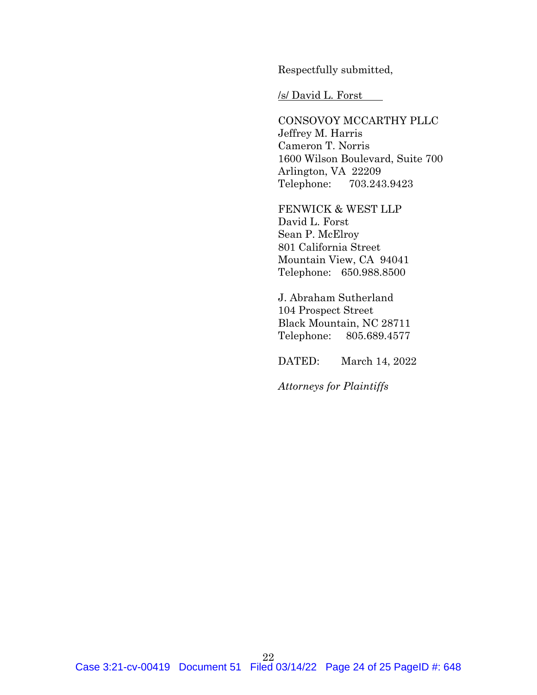Respectfully submitted,

/s/ David L. Forst

CONSOVOY MCCARTHY PLLC Jeffrey M. Harris Cameron T. Norris 1600 Wilson Boulevard, Suite 700 Arlington, VA 22209 Telephone: 703.243.9423

FENWICK & WEST LLP David L. Forst Sean P. McElroy 801 California Street Mountain View, CA 94041 Telephone: 650.988.8500

J. Abraham Sutherland 104 Prospect Street Black Mountain, NC 28711 Telephone: 805.689.4577

DATED: March 14, 2022

*Attorneys for Plaintiffs*